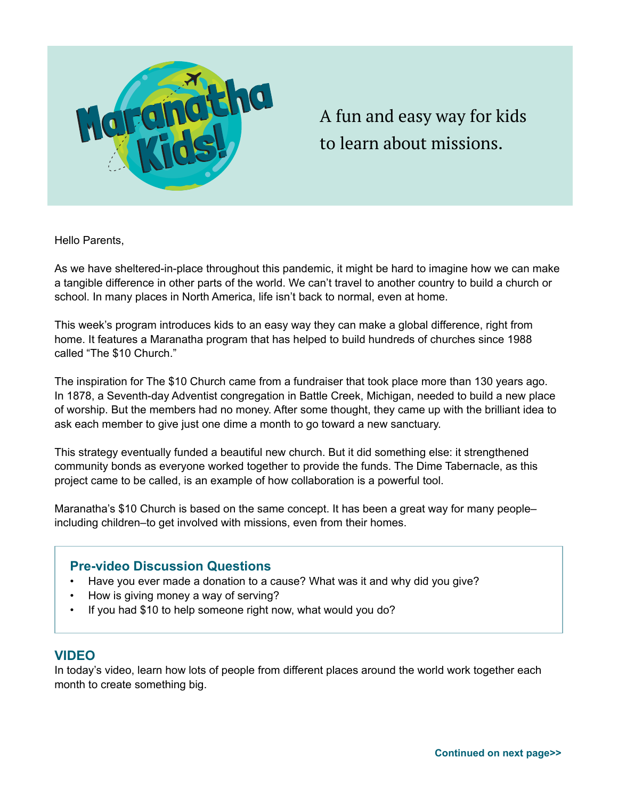

# A fun and easy way for kids to learn about missions.

Hello Parents,

As we have sheltered-in-place throughout this pandemic, it might be hard to imagine how we can make a tangible difference in other parts of the world. We can't travel to another country to build a church or school. In many places in North America, life isn't back to normal, even at home.

This week's program introduces kids to an easy way they can make a global difference, right from home. It features a Maranatha program that has helped to build hundreds of churches since 1988 called "The \$10 Church."

The inspiration for The \$10 Church came from a fundraiser that took place more than 130 years ago. In 1878, a Seventh-day Adventist congregation in Battle Creek, Michigan, needed to build a new place of worship. But the members had no money. After some thought, they came up with the brilliant idea to ask each member to give just one dime a month to go toward a new sanctuary.

This strategy eventually funded a beautiful new church. But it did something else: it strengthened community bonds as everyone worked together to provide the funds. The Dime Tabernacle, as this project came to be called, is an example of how collaboration is a powerful tool.

Maranatha's \$10 Church is based on the same concept. It has been a great way for many people– including children–to get involved with missions, even from their homes.

#### **Pre-video Discussion Questions**

- Have you ever made a donation to a cause? What was it and why did you give?
- How is giving money a way of serving?
- If you had \$10 to help someone right now, what would you do?

# **VIDEO**

In today's video, learn how lots of people from different places around the world work together each month to create something big.